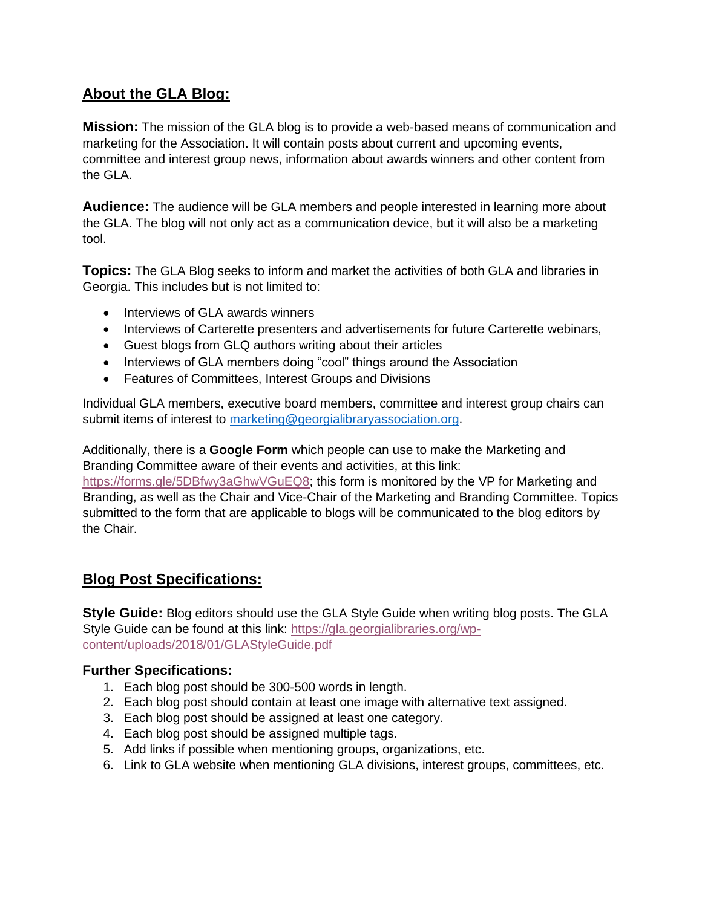# **About the GLA Blog:**

**Mission:** The mission of the GLA blog is to provide a web-based means of communication and marketing for the Association. It will contain posts about current and upcoming events, committee and interest group news, information about awards winners and other content from the GLA.

**Audience:** The audience will be GLA members and people interested in learning more about the GLA. The blog will not only act as a communication device, but it will also be a marketing tool.

**Topics:** The GLA Blog seeks to inform and market the activities of both GLA and libraries in Georgia. This includes but is not limited to:

- Interviews of GLA awards winners
- Interviews of Carterette presenters and advertisements for future Carterette webinars,
- Guest blogs from GLQ authors writing about their articles
- Interviews of GLA members doing "cool" things around the Association
- Features of Committees, Interest Groups and Divisions

Individual GLA members, executive board members, committee and interest group chairs can submit items of interest to [marketing@georgialibraryassociation.org.](mailto:marketing@georgialibraryassociation.org)

Additionally, there is a **Google Form** which people can use to make the Marketing and Branding Committee aware of their events and activities, at this link: [https://forms.gle/5DBfwy3aGhwVGuEQ8;](https://forms.gle/5DBfwy3aGhwVGuEQ8) this form is monitored by the VP for Marketing and Branding, as well as the Chair and Vice-Chair of the Marketing and Branding Committee. Topics submitted to the form that are applicable to blogs will be communicated to the blog editors by the Chair.

### **Blog Post Specifications:**

**Style Guide:** Blog editors should use the GLA Style Guide when writing blog posts. The GLA Style Guide can be found at this link: [https://gla.georgialibraries.org/wp](https://gla.georgialibraries.org/wp-content/uploads/2018/01/GLAStyleGuide.pdf)[content/uploads/2018/01/GLAStyleGuide.pdf](https://gla.georgialibraries.org/wp-content/uploads/2018/01/GLAStyleGuide.pdf)

### **Further Specifications:**

- 1. Each blog post should be 300-500 words in length.
- 2. Each blog post should contain at least one image with alternative text assigned.
- 3. Each blog post should be assigned at least one category.
- 4. Each blog post should be assigned multiple tags.
- 5. Add links if possible when mentioning groups, organizations, etc.
- 6. Link to GLA website when mentioning GLA divisions, interest groups, committees, etc.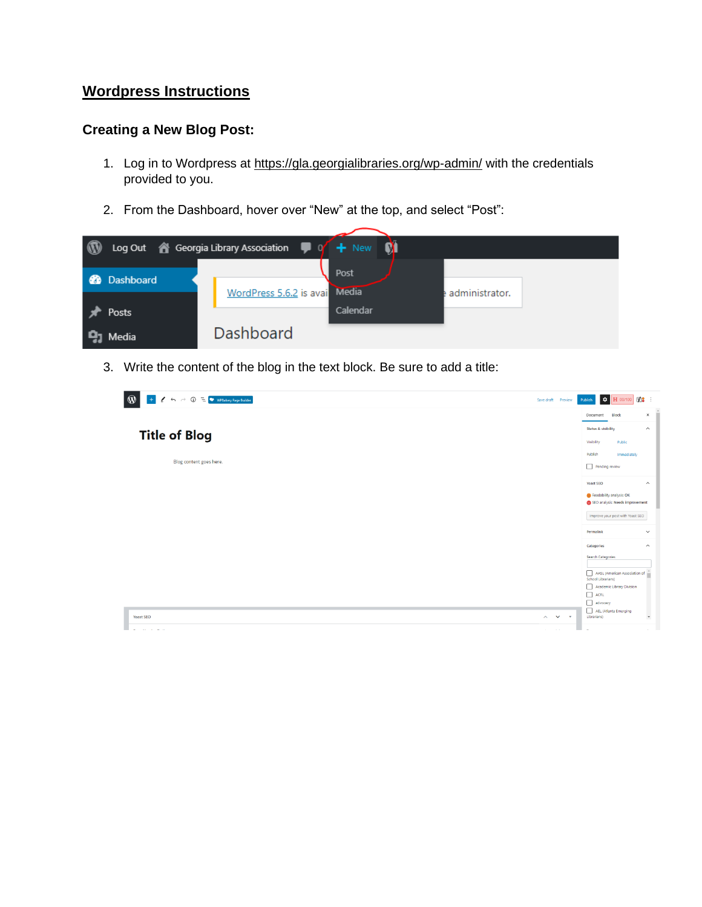## **Wordpress Instructions**

### **Creating a New Blog Post:**

- 1. Log in to Wordpress at<https://gla.georgialibraries.org/wp-admin/> with the credentials provided to you.
- 2. From the Dashboard, hover over "New" at the top, and select "Post":

| $\, \circledR$ |                      | Log Out & Georgia Library Association<br>+ New M |
|----------------|----------------------|--------------------------------------------------|
|                | Dashboard            | Post<br><b>Media</b>                             |
|                |                      | WordPress 5.6.2 is avail<br>administrator.       |
|                | Posts                | Calendar                                         |
|                | $\mathbf{Q}_1$ Media | <b>Dashboard</b>                                 |

3. Write the content of the blog in the text block. Be sure to add a title:

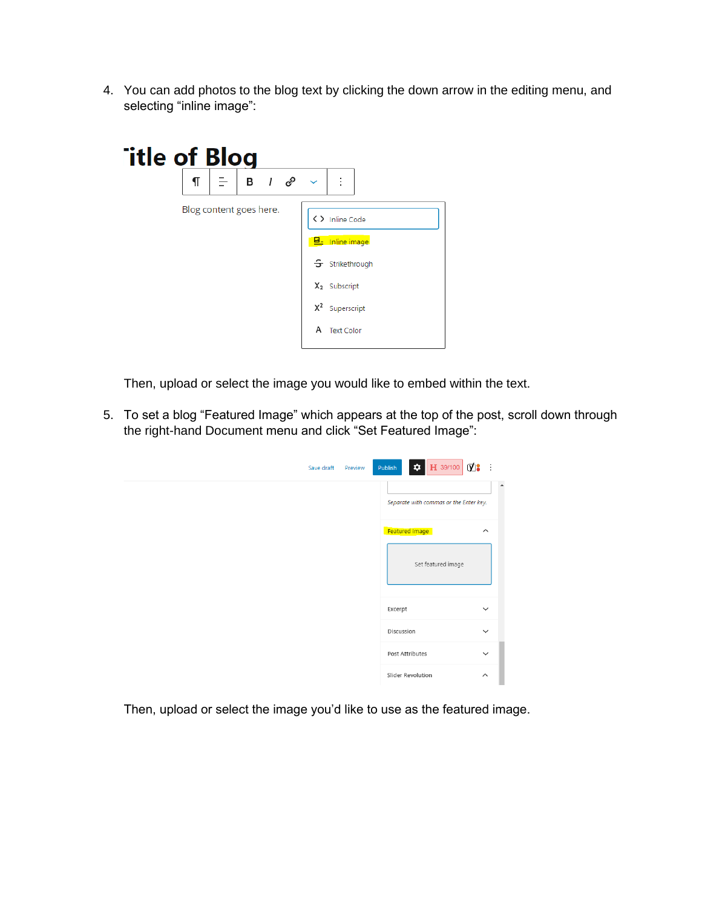4. You can add photos to the blog text by clicking the down arrow in the editing menu, and selecting "inline image":

| <b>Title of Blog</b> |                         |                                         |                             |
|----------------------|-------------------------|-----------------------------------------|-----------------------------|
| ¶                    |                         | $\mathsf{B}$ $\mathsf{I}$ $\mathscr{P}$ | ÷<br>$\checkmark$           |
|                      | Blog content goes here. |                                         | <> Inline Code              |
|                      |                         |                                         | B- Inline image             |
|                      |                         |                                         | $\mathcal{F}$ Strikethrough |
|                      |                         |                                         | X <sub>2</sub> Subscript    |
|                      |                         |                                         | $X^2$<br>Superscript        |
|                      |                         |                                         | А<br><b>Text Color</b>      |

Then, upload or select the image you would like to embed within the text.

5. To set a blog "Featured Image" which appears at the top of the post, scroll down through the right-hand Document menu and click "Set Featured Image":

| Save draft | Preview | $\bullet$ H 39/100 $\bullet$ :<br><b>Publish</b> |                         |
|------------|---------|--------------------------------------------------|-------------------------|
|            |         | Separate with commas or the Enter key.           | $\Delta$                |
|            |         | <b>Featured image</b><br>Set featured image      | $\widehat{\phantom{a}}$ |
|            |         | Excerpt                                          | $\checkmark$            |
|            |         | Discussion                                       | $\checkmark$            |
|            |         | Post Attributes                                  | $\checkmark$            |
|            |         | Slider Revolution                                | $\hat{\phantom{a}}$     |

Then, upload or select the image you'd like to use as the featured image.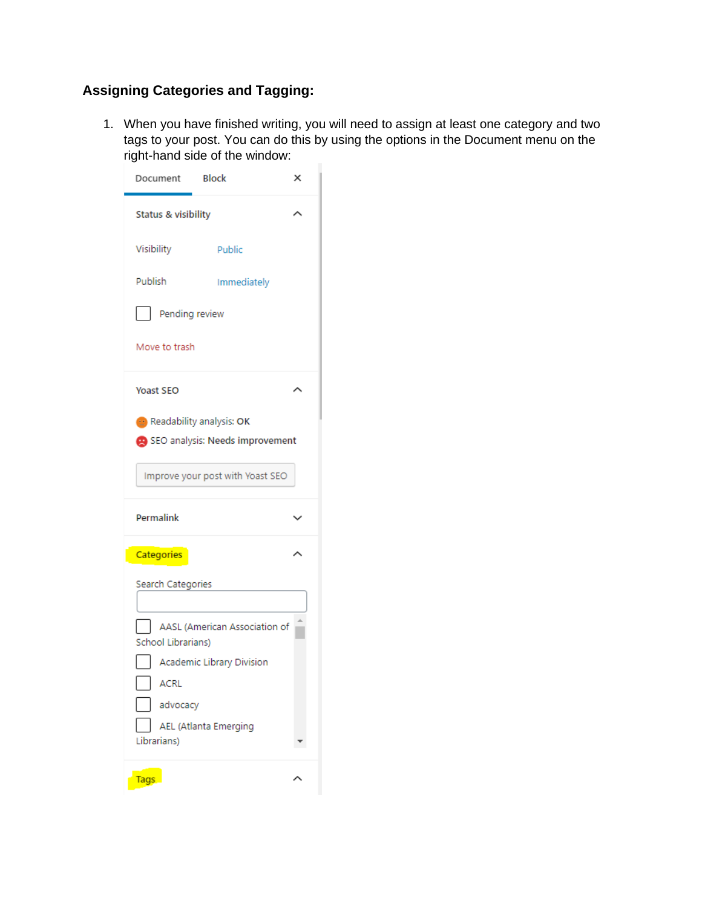# **Assigning Categories and Tagging:**

1. When you have finished writing, you will need to assign at least one category and two tags to your post. You can do this by using the options in the Document menu on the right-hand side of the window:

| Document                         | Block                           | × |  |  |  |  |
|----------------------------------|---------------------------------|---|--|--|--|--|
| Status & visibility              |                                 |   |  |  |  |  |
| Visibility                       | Public                          |   |  |  |  |  |
| Publish                          | Immediately                     |   |  |  |  |  |
| Pending review                   |                                 |   |  |  |  |  |
| Move to trash                    |                                 |   |  |  |  |  |
| <b>Yoast SEO</b>                 |                                 |   |  |  |  |  |
| Readability analysis: OK         |                                 |   |  |  |  |  |
|                                  | SEO analysis: Needs improvement |   |  |  |  |  |
| Improve your post with Yoast SEO |                                 |   |  |  |  |  |
| Permalink                        |                                 |   |  |  |  |  |
| Categories                       |                                 |   |  |  |  |  |
| Search Categories                |                                 |   |  |  |  |  |
|                                  |                                 |   |  |  |  |  |
|                                  |                                 |   |  |  |  |  |
| School Librarians)               | AASL (American Association of   |   |  |  |  |  |
|                                  | Academic Library Division       |   |  |  |  |  |
| ACRL                             |                                 |   |  |  |  |  |
| advocacy                         |                                 |   |  |  |  |  |
| Librarians)                      | AEL (Atlanta Emerging           |   |  |  |  |  |